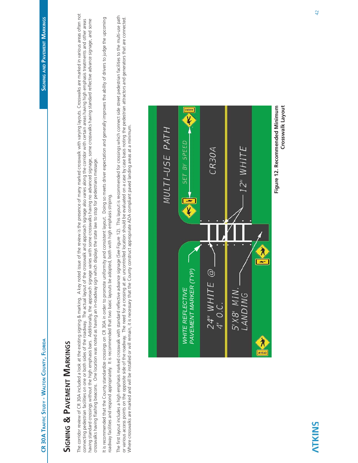## **SIGNING & PAVEMENT MARKINGS SIGNING & PAVEMENT MARKINGS**

The corridor review of CR 30A included a look at the existing signing & marking signing signing a look at the existing signing a look at the existing signing signing a look at the existing signing areas often not The corridor review of CR 30A included a look at the existing signing & marking, A key noted issue of the pressence of many marked crosswalk with varying layouts. Crosswalks are marked in various areas often not having standard crossings without the high emphasis bars. Additionally the approach signage varies with some crosswalks having no advanced signage, some crosswalks having standard reflective advance signage, and some connecting pedestrian facilities on one or both sides of the roadway. The actual layout of the rosswalk and approach signage also varies along the corridor with certain areas having high emphasis treatments and other areas having standard crossings without the high emphasis bars. Additionally, the approach signage varies with some crosswalks having no advanced signage, and signage, and some signage, and some signage, and some abvening the hi connecting pedestrian facilities on one or both sides of the roadway. The actual layout of the crosswalk and approach signage also varies along the corridor with certain areas having high emphasis treatments and other area crosswalks having tlashing beacons. One location was noted as having an in-roadway sign which displays the state law to stop for pedestrians message. crosswalks having flashing beacons. One location was noted as having an in-roadway sign which displays the state law to stop for pedestrians message.

It is recommended that the County standardize crossings on CR 30A in order to promote uniformity and consistent layout. Doing so meets driver expectation and generally improves the ability of drivers to judge the upcoming It is recommended that the County standardize crossings on CR 30A in order to promote uniformity and consistent layout. Doing so meets driver expectation and generally improves the ability of drivers to judge the upcoming roadway facilities and respond appropriately. It is recommended that two basic layouts be adopted, both with high emphasis striping. roadway facilities and respond appropriately. It is recommended that two basic layouts be adopted, both with high emphasis striping.

The first layout includes a high emphasis marked crosswalk with standard reflective advance signage (See Figure 12). This layout is recommended for crossings which connect side street pedestrian facilities to the multi-use The first layout includes a high emphasis marked crosswalk with stande palk with standed See Figure 12). This layout is recommended for crossings which connect side street pedestrian facilities to the multi-use path or various access points on the roadway. The need for a crossing at an uncontrolled location should be evaluated on a case by case basis noting the pedestrian attractors and generators that are connected. Where crosswalks are marked and will be installed or will remain, it is necessary that the County construct appropriate ADA compliant paved landing areas at a minimum. Where crosswalks are marked and will be installed or will remain, it is necessary that the County construct appropriate ADA compliant paved landing areas at a minimum.



**Crosswalk Layout**

Crosswalk Layout